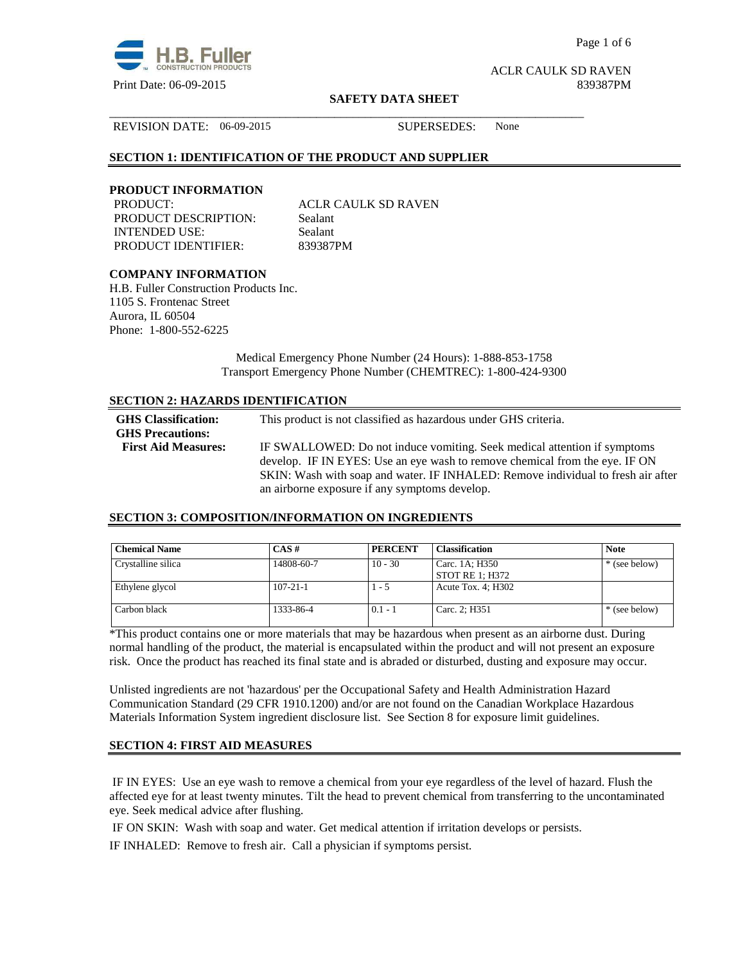

Page 1 of 6

ACLR CAULK SD RAVEN

#### **SAFETY DATA SHEET**

REVISION DATE: 06-09-2015 SUPERSEDES: None

## **SECTION 1: IDENTIFICATION OF THE PRODUCT AND SUPPLIER**

#### **PRODUCT INFORMATION**

PRODUCT DESCRIPTION: Sealant INTENDED USE: Sealant PRODUCT IDENTIFIER: 839387PM

PRODUCT: ACLR CAULK SD RAVEN

\_\_\_\_\_\_\_\_\_\_\_\_\_\_\_\_\_\_\_\_\_\_\_\_\_\_\_\_\_\_\_\_\_\_\_\_\_\_\_\_\_\_\_\_\_\_\_\_\_\_\_\_\_\_\_\_\_\_\_\_\_\_\_\_\_\_\_\_\_\_\_\_\_\_\_\_\_\_

## **COMPANY INFORMATION**

H.B. Fuller Construction Products Inc. 1105 S. Frontenac Street Aurora, IL 60504 Phone: 1-800-552-6225

> Medical Emergency Phone Number (24 Hours): 1-888-853-1758 Transport Emergency Phone Number (CHEMTREC): 1-800-424-9300

#### **SECTION 2: HAZARDS IDENTIFICATION**

| <b>GHS</b> Classification:<br><b>GHS Precautions:</b> | This product is not classified as hazardous under GHS criteria.                  |
|-------------------------------------------------------|----------------------------------------------------------------------------------|
| <b>First Aid Measures:</b>                            | IF SWALLOWED: Do not induce vomiting. Seek medical attention if symptoms         |
|                                                       | develop. IF IN EYES: Use an eye wash to remove chemical from the eye. IF ON      |
|                                                       | SKIN: Wash with soap and water. IF INHALED: Remove individual to fresh air after |
|                                                       | an airborne exposure if any symptoms develop.                                    |

#### **SECTION 3: COMPOSITION/INFORMATION ON INGREDIENTS**

| <b>Chemical Name</b> | $\mathbf{CAS}$ # | <b>PERCENT</b> | <b>Classification</b>             | <b>Note</b>   |
|----------------------|------------------|----------------|-----------------------------------|---------------|
| Crystalline silica   | 14808-60-7       | $10 - 30$      | Carc. 1A; H350<br>STOT RE 1; H372 | * (see below) |
| Ethylene glycol      | $107 - 21 - 1$   | l - 5          | Acute Tox. $4$ ; H302             |               |
| Carbon black         | 1333-86-4        | $0.1 - 1$      | Carc. 2; H351                     | * (see below) |

\*This product contains one or more materials that may be hazardous when present as an airborne dust. During normal handling of the product, the material is encapsulated within the product and will not present an exposure risk. Once the product has reached its final state and is abraded or disturbed, dusting and exposure may occur.

Unlisted ingredients are not 'hazardous' per the Occupational Safety and Health Administration Hazard Communication Standard (29 CFR 1910.1200) and/or are not found on the Canadian Workplace Hazardous Materials Information System ingredient disclosure list. See Section 8 for exposure limit guidelines.

#### **SECTION 4: FIRST AID MEASURES**

 IF IN EYES: Use an eye wash to remove a chemical from your eye regardless of the level of hazard. Flush the affected eye for at least twenty minutes. Tilt the head to prevent chemical from transferring to the uncontaminated eye. Seek medical advice after flushing.

IF ON SKIN: Wash with soap and water. Get medical attention if irritation develops or persists.

IF INHALED: Remove to fresh air. Call a physician if symptoms persist.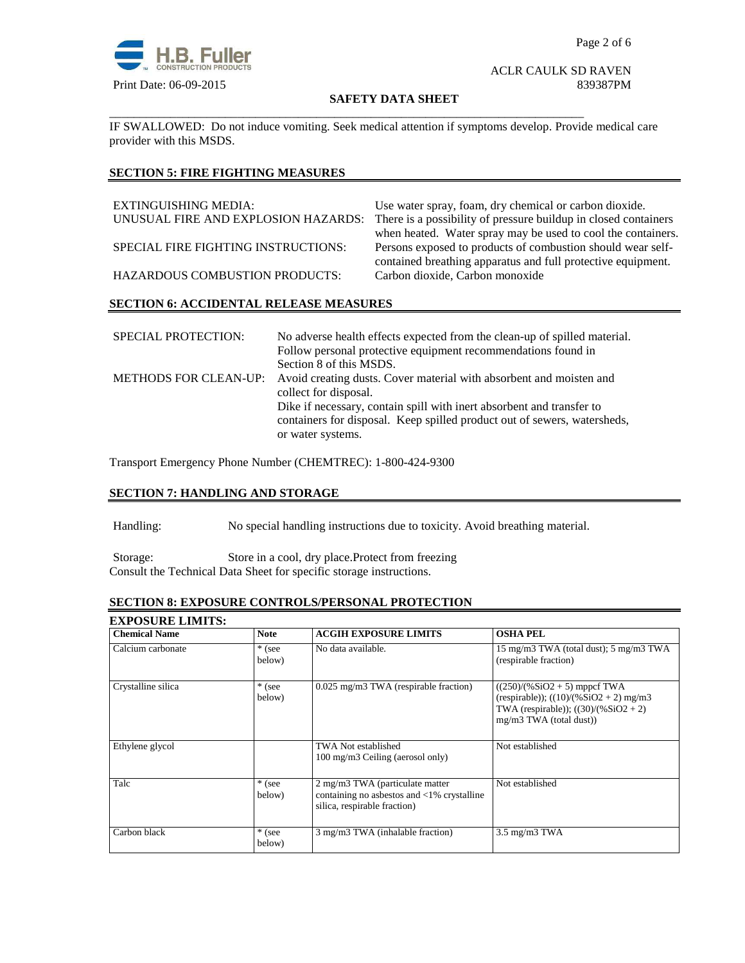

#### ACLR CAULK SD RAVEN Print Date: 06-09-2015 839387PM

#### **SAFETY DATA SHEET**

IF SWALLOWED:Do not induce vomiting. Seek medical attention if symptoms develop. Provide medical care provider with this MSDS.

\_\_\_\_\_\_\_\_\_\_\_\_\_\_\_\_\_\_\_\_\_\_\_\_\_\_\_\_\_\_\_\_\_\_\_\_\_\_\_\_\_\_\_\_\_\_\_\_\_\_\_\_\_\_\_\_\_\_\_\_\_\_\_\_\_\_\_\_\_\_\_\_\_\_\_\_\_\_

# **SECTION 5: FIRE FIGHTING MEASURES**

| EXTINGUISHING MEDIA:                  | Use water spray, foam, dry chemical or carbon dioxide.                                                                      |
|---------------------------------------|-----------------------------------------------------------------------------------------------------------------------------|
| UNUSUAL FIRE AND EXPLOSION HAZARDS:   | There is a possibility of pressure buildup in closed containers                                                             |
|                                       | when heated. Water spray may be used to cool the containers.                                                                |
| SPECIAL FIRE FIGHTING INSTRUCTIONS:   | Persons exposed to products of combustion should wear self-<br>contained breathing apparatus and full protective equipment. |
| <b>HAZARDOUS COMBUSTION PRODUCTS:</b> | Carbon dioxide, Carbon monoxide                                                                                             |
|                                       |                                                                                                                             |

#### **SECTION 6: ACCIDENTAL RELEASE MEASURES**

| <b>SPECIAL PROTECTION:</b> | No adverse health effects expected from the clean-up of spilled material.                 |
|----------------------------|-------------------------------------------------------------------------------------------|
|                            | Follow personal protective equipment recommendations found in                             |
|                            | Section 8 of this MSDS.                                                                   |
|                            | METHODS FOR CLEAN-UP: Avoid creating dusts. Cover material with absorbent and moisten and |
|                            | collect for disposal.                                                                     |
|                            | Dike if necessary, contain spill with inert absorbent and transfer to                     |
|                            | containers for disposal. Keep spilled product out of sewers, watersheds,                  |
|                            | or water systems.                                                                         |

Transport Emergency Phone Number (CHEMTREC): 1-800-424-9300

## **SECTION 7: HANDLING AND STORAGE**

Handling: No special handling instructions due to toxicity. Avoid breathing material.

Storage: Store in a cool, dry place.Protect from freezing Consult the Technical Data Sheet for specific storage instructions.

# **SECTION 8: EXPOSURE CONTROLS/PERSONAL PROTECTION**

| <b>EXPOSURE LIMITS:</b> |                    |                                                                                                                         |                                                                                                                                                  |
|-------------------------|--------------------|-------------------------------------------------------------------------------------------------------------------------|--------------------------------------------------------------------------------------------------------------------------------------------------|
| <b>Chemical Name</b>    | <b>Note</b>        | <b>ACGIH EXPOSURE LIMITS</b>                                                                                            | <b>OSHA PEL</b>                                                                                                                                  |
| Calcium carbonate       | $*$ (see<br>below) | No data available.                                                                                                      | 15 mg/m3 TWA (total dust); 5 mg/m3 TWA<br>(respirable fraction)                                                                                  |
| Crystalline silica      | $*$ (see<br>below) | 0.025 mg/m3 TWA (respirable fraction)                                                                                   | $((250)/(%SiO2 + 5)$ mppcf TWA<br>(respirable)); $((10)/(%SiO2 + 2)$ mg/m3<br>TWA (respirable)); $((30)/(%SiO2 + 2))$<br>mg/m3 TWA (total dust)) |
| Ethylene glycol         |                    | <b>TWA Not established</b><br>100 mg/m3 Ceiling (aerosol only)                                                          | Not established                                                                                                                                  |
| Talc                    | $*$ (see<br>below) | 2 mg/m3 TWA (particulate matter<br>containing no asbestos and $\langle 1\%$ crystalline<br>silica, respirable fraction) | Not established                                                                                                                                  |
| Carbon black            | * (see<br>below)   | 3 mg/m3 TWA (inhalable fraction)                                                                                        | $3.5 \text{ mg/m}$ $3 \text{ TWA}$                                                                                                               |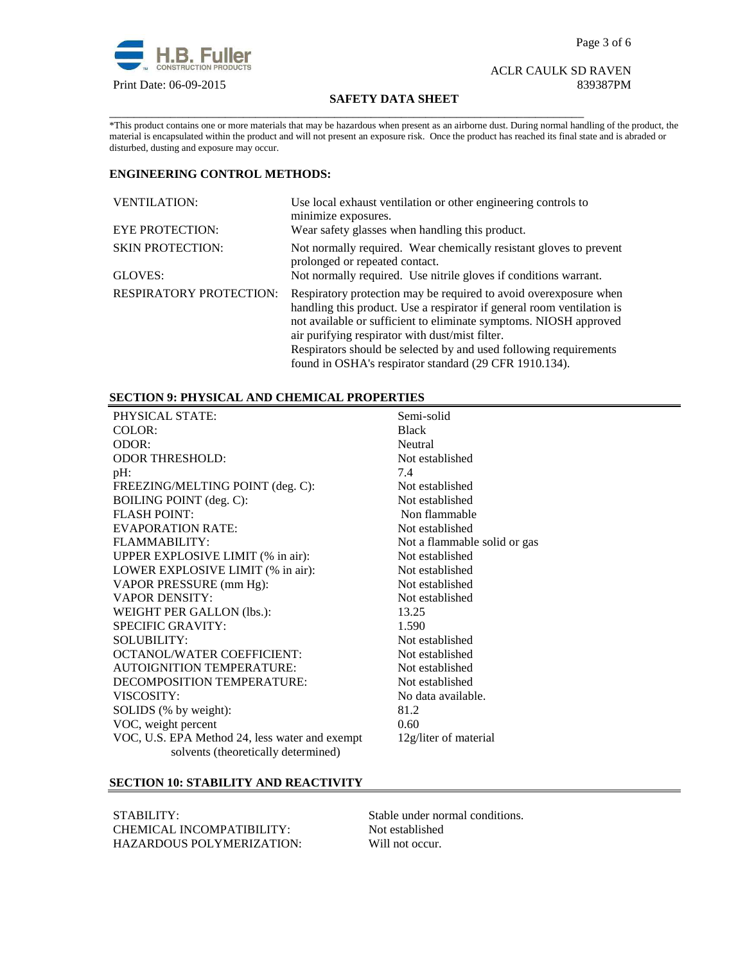

#### ACLR CAULK SD RAVEN Print Date: 06-09-2015 839387PM

#### **SAFETY DATA SHEET**

\_\_\_\_\_\_\_\_\_\_\_\_\_\_\_\_\_\_\_\_\_\_\_\_\_\_\_\_\_\_\_\_\_\_\_\_\_\_\_\_\_\_\_\_\_\_\_\_\_\_\_\_\_\_\_\_\_\_\_\_\_\_\_\_\_\_\_\_\_\_\_\_\_\_\_\_\_\_

\*This product contains one or more materials that may be hazardous when present as an airborne dust. During normal handling of the product, the material is encapsulated within the product and will not present an exposure risk. Once the product has reached its final state and is abraded or disturbed, dusting and exposure may occur.

# **ENGINEERING CONTROL METHODS:**

| <b>VENTILATION:</b>            | Use local exhaust ventilation or other engineering controls to<br>minimize exposures.                                                                                                                                                                                                                                                     |
|--------------------------------|-------------------------------------------------------------------------------------------------------------------------------------------------------------------------------------------------------------------------------------------------------------------------------------------------------------------------------------------|
| <b>EYE PROTECTION:</b>         | Wear safety glasses when handling this product.                                                                                                                                                                                                                                                                                           |
| <b>SKIN PROTECTION:</b>        | Not normally required. Wear chemically resistant gloves to prevent<br>prolonged or repeated contact.                                                                                                                                                                                                                                      |
| GLOVES:                        | Not normally required. Use nitrile gloves if conditions warrant.                                                                                                                                                                                                                                                                          |
| <b>RESPIRATORY PROTECTION:</b> | Respiratory protection may be required to avoid over exposure when<br>handling this product. Use a respirator if general room ventilation is<br>not available or sufficient to eliminate symptoms. NIOSH approved<br>air purifying respirator with dust/mist filter.<br>Respirators should be selected by and used following requirements |
|                                | found in OSHA's respirator standard (29 CFR 1910.134).                                                                                                                                                                                                                                                                                    |

## **SECTION 9: PHYSICAL AND CHEMICAL PROPERTIES**

| PHYSICAL STATE:                                | Semi-solid                   |
|------------------------------------------------|------------------------------|
| COLOR:                                         | <b>Black</b>                 |
| ODOR:                                          | Neutral                      |
| <b>ODOR THRESHOLD:</b>                         | Not established              |
| $pH$ :                                         | 7.4                          |
| FREEZING/MELTING POINT (deg. C):               | Not established              |
| <b>BOILING POINT</b> (deg. C):                 | Not established              |
| <b>FLASH POINT:</b>                            | Non flammable                |
| <b>EVAPORATION RATE:</b>                       | Not established              |
| FLAMMABILITY:                                  | Not a flammable solid or gas |
| UPPER EXPLOSIVE LIMIT (% in air):              | Not established              |
| LOWER EXPLOSIVE LIMIT (% in air):              | Not established              |
| VAPOR PRESSURE (mm Hg):                        | Not established              |
| <b>VAPOR DENSITY:</b>                          | Not established              |
| WEIGHT PER GALLON (lbs.):                      | 13.25                        |
| <b>SPECIFIC GRAVITY:</b>                       | 1.590                        |
| <b>SOLUBILITY:</b>                             | Not established              |
| <b>OCTANOL/WATER COEFFICIENT:</b>              | Not established              |
| <b>AUTOIGNITION TEMPERATURE:</b>               | Not established              |
| DECOMPOSITION TEMPERATURE:                     | Not established              |
| VISCOSITY:                                     | No data available.           |
| SOLIDS (% by weight):                          | 81.2                         |
| VOC, weight percent                            | 0.60                         |
| VOC, U.S. EPA Method 24, less water and exempt | 12g/liter of material        |
| solvents (theoretically determined)            |                              |

## **SECTION 10: STABILITY AND REACTIVITY**

STABILITY: Stable under normal conditions.<br>
CHEMICAL INCOMPATIBILITY: Not established CHEMICAL INCOMPATIBILITY: HAZARDOUS POLYMERIZATION: Will not occur.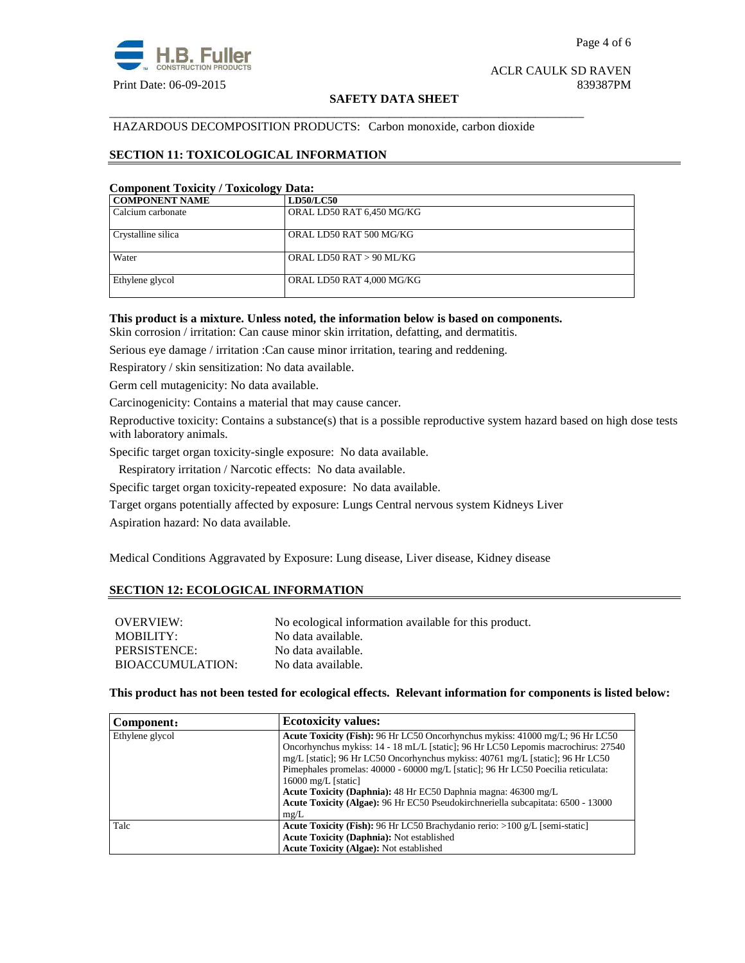

#### **SAFETY DATA SHEET**

#### HAZARDOUS DECOMPOSITION PRODUCTS: Carbon monoxide, carbon dioxide

\_\_\_\_\_\_\_\_\_\_\_\_\_\_\_\_\_\_\_\_\_\_\_\_\_\_\_\_\_\_\_\_\_\_\_\_\_\_\_\_\_\_\_\_\_\_\_\_\_\_\_\_\_\_\_\_\_\_\_\_\_\_\_\_\_\_\_\_\_\_\_\_\_\_\_\_\_\_

#### **SECTION 11: TOXICOLOGICAL INFORMATION**

# **Component Toxicity / Toxicology Data:**

| <b>COMPONENT NAME</b> | <b>LD50/LC50</b>          |
|-----------------------|---------------------------|
| Calcium carbonate     | ORAL LD50 RAT 6,450 MG/KG |
| Crystalline silica    | ORAL LD50 RAT 500 MG/KG   |
| Water                 | ORAL LD50 RAT > 90 ML/KG  |
| Ethylene glycol       | ORAL LD50 RAT 4,000 MG/KG |

#### **This product is a mixture. Unless noted, the information below is based on components.**

Skin corrosion / irritation: Can cause minor skin irritation, defatting, and dermatitis.

Serious eye damage / irritation :Can cause minor irritation, tearing and reddening.

Respiratory / skin sensitization: No data available.

Germ cell mutagenicity: No data available.

Carcinogenicity: Contains a material that may cause cancer.

Reproductive toxicity: Contains a substance(s) that is a possible reproductive system hazard based on high dose tests with laboratory animals.

Specific target organ toxicity-single exposure:No data available.

Respiratory irritation / Narcotic effects: No data available.

Specific target organ toxicity-repeated exposure:No data available.

Target organs potentially affected by exposure: Lungs Central nervous system Kidneys Liver

Aspiration hazard: No data available.

Medical Conditions Aggravated by Exposure: Lung disease, Liver disease, Kidney disease

#### **SECTION 12: ECOLOGICAL INFORMATION**

| <b>OVERVIEW:</b> | No ecological information available for this product. |
|------------------|-------------------------------------------------------|
| MOBILITY:        | No data available.                                    |
| PERSISTENCE:     | No data available.                                    |
| BIOACCUMULATION: | No data available.                                    |

**This product has not been tested for ecological effects. Relevant information for components is listed below:** 

| Component:      | <b>Ecotoxicity values:</b>                                                        |
|-----------------|-----------------------------------------------------------------------------------|
| Ethylene glycol | Acute Toxicity (Fish): 96 Hr LC50 Oncorhynchus mykiss: 41000 mg/L; 96 Hr LC50     |
|                 | Oncorhynchus mykiss: 14 - 18 mL/L [static]; 96 Hr LC50 Lepomis macrochirus: 27540 |
|                 | mg/L [static]; 96 Hr LC50 Oncorhynchus mykiss: 40761 mg/L [static]; 96 Hr LC50    |
|                 | Pimephales promelas: 40000 - 60000 mg/L [static]; 96 Hr LC50 Poecilia reticulata: |
|                 | $16000 \text{ mg/L}$ [static]                                                     |
|                 | Acute Toxicity (Daphnia): 48 Hr EC50 Daphnia magna: 46300 mg/L                    |
|                 | Acute Toxicity (Algae): 96 Hr EC50 Pseudokirchneriella subcapitata: 6500 - 13000  |
|                 | mg/L                                                                              |
| Talc            | Acute Toxicity (Fish): 96 Hr LC50 Brachydanio rerio: >100 g/L [semi-static]       |
|                 | Acute Toxicity (Daphnia): Not established                                         |
|                 | <b>Acute Toxicity (Algae): Not established</b>                                    |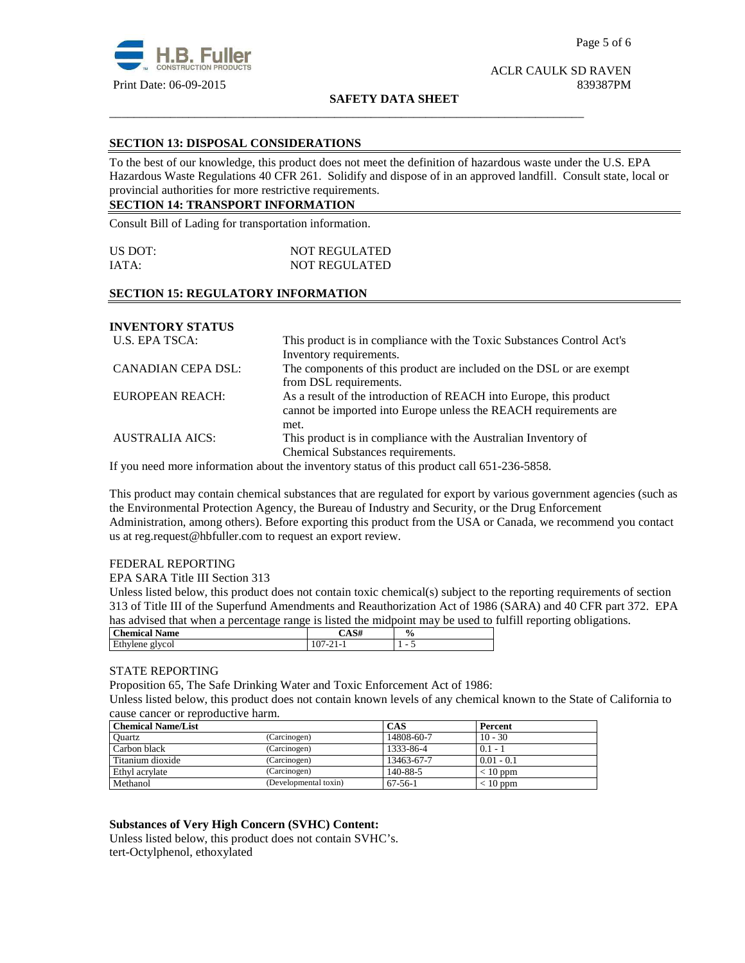

# ACLR CAULK SD RAVEN

#### **SAFETY DATA SHEET**

\_\_\_\_\_\_\_\_\_\_\_\_\_\_\_\_\_\_\_\_\_\_\_\_\_\_\_\_\_\_\_\_\_\_\_\_\_\_\_\_\_\_\_\_\_\_\_\_\_\_\_\_\_\_\_\_\_\_\_\_\_\_\_\_\_\_\_\_\_\_\_\_\_\_\_\_\_\_

#### **SECTION 13: DISPOSAL CONSIDERATIONS**

To the best of our knowledge, this product does not meet the definition of hazardous waste under the U.S. EPA Hazardous Waste Regulations 40 CFR 261. Solidify and dispose of in an approved landfill. Consult state, local or provincial authorities for more restrictive requirements.

# **SECTION 14: TRANSPORT INFORMATION**

Consult Bill of Lading for transportation information.

| US DOT: | <b>NOT REGULATED</b> |
|---------|----------------------|
| IATA:   | <b>NOT REGULATED</b> |

#### **SECTION 15: REGULATORY INFORMATION**

# **INVENTORY STATUS**

| U.S. EPA TSCA:         | This product is in compliance with the Toxic Substances Control Act's |
|------------------------|-----------------------------------------------------------------------|
|                        | Inventory requirements.                                               |
| CANADIAN CEPA DSL:     | The components of this product are included on the DSL or are exempt  |
|                        | from DSL requirements.                                                |
| EUROPEAN REACH:        | As a result of the introduction of REACH into Europe, this product    |
|                        | cannot be imported into Europe unless the REACH requirements are      |
|                        | met.                                                                  |
| <b>AUSTRALIA AICS:</b> | This product is in compliance with the Australian Inventory of        |
|                        | Chemical Substances requirements.                                     |

If you need more information about the inventory status of this product call 651-236-5858.

This product may contain chemical substances that are regulated for export by various government agencies (such as the Environmental Protection Agency, the Bureau of Industry and Security, or the Drug Enforcement Administration, among others). Before exporting this product from the USA or Canada, we recommend you contact us at reg.request@hbfuller.com to request an export review.

#### FEDERAL REPORTING

EPA SARA Title III Section 313

Unless listed below, this product does not contain toxic chemical(s) subject to the reporting requirements of section 313 of Title III of the Superfund Amendments and Reauthorization Act of 1986 (SARA) and 40 CFR part 372. EPA has advised that when a percentage range is listed the midpoint may be used to fulfill reporting obligations.

| <b>Chemical Name</b> | <b>െ.</b> പ<br>-A3# | $\frac{0}{0}$            |
|----------------------|---------------------|--------------------------|
| Ethylene glycol      | ٠.                  | $\overline{\phantom{a}}$ |

#### STATE REPORTING

Proposition 65, The Safe Drinking Water and Toxic Enforcement Act of 1986: Unless listed below, this product does not contain known levels of any chemical known to the State of California to cause cancer or reproductive harm.

| <b>Chemical Name/List</b> |                       | <b>CAS</b> | Percent      |
|---------------------------|-----------------------|------------|--------------|
| Ouartz                    | (Carcinogen)          | 14808-60-7 | $10 - 30$    |
| Carbon black              | (Carcinogen)          | 1333-86-4  | $0.1 - 1$    |
| Titanium dioxide          | (Carcinogen)          | 13463-67-7 | $0.01 - 0.1$ |
| Ethyl acrylate            | (Carcinogen)          | 140-88-5   | $< 10$ ppm   |
| Methanol                  | (Developmental toxin) | 67-56-1    | $< 10$ ppm   |

**Substances of Very High Concern (SVHC) Content:** 

Unless listed below, this product does not contain SVHC's. tert-Octylphenol, ethoxylated